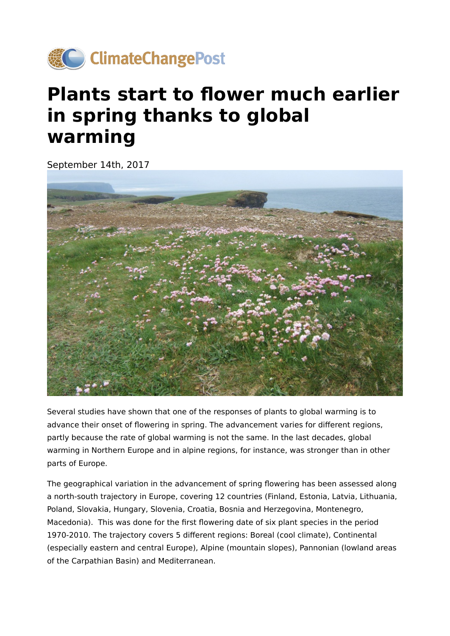

## **Plants start to flower much earlier in spring thanks to global warming**

September 14th, 2017



Several studies have shown that one of the responses of plants to global warming is to advance their onset of flowering in spring. The advancement varies for different regions, partly because the rate of global warming is not the same. In the last decades, global warming in Northern Europe and in alpine regions, for instance, was stronger than in other parts of Europe.

The geographical variation in the advancement of spring flowering has been assessed along a north-south trajectory in Europe, covering 12 countries (Finland, Estonia, Latvia, Lithuania, Poland, Slovakia, Hungary, Slovenia, Croatia, Bosnia and Herzegovina, Montenegro, Macedonia). This was done for the first flowering date of six plant species in the period 1970-2010. The trajectory covers 5 different regions: Boreal (cool climate), Continental (especially eastern and central Europe), Alpine (mountain slopes), Pannonian (lowland areas of the Carpathian Basin) and Mediterranean.